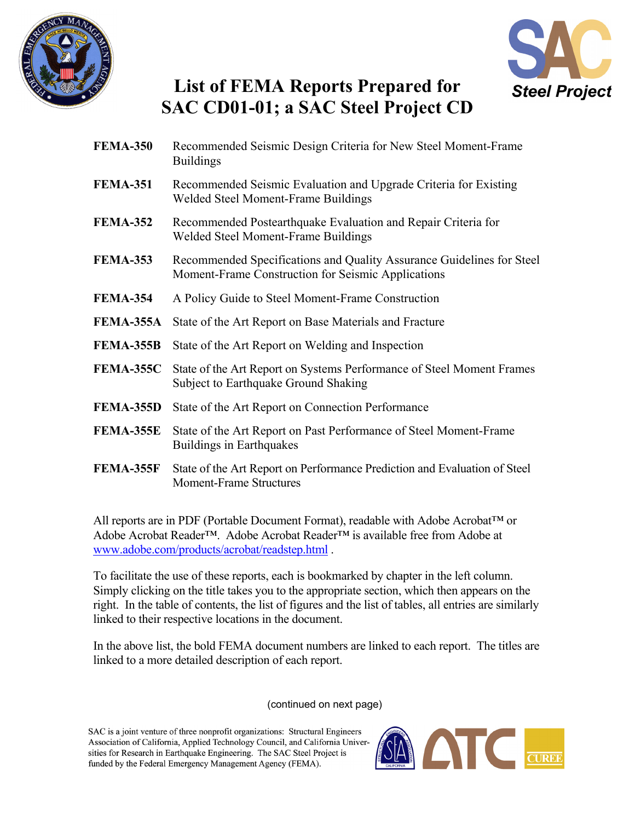



## **List of FEMA Reports Prepared for SAC CD01-01; a SAC Steel Project CD**

- **FEMA-350** [Recommended Seismic Design Criteria for New Steel Moment-Frame](#page-1-0) Buildings **FEMA-351** [Recommended Seismic Evaluation and Upgrade Criteria for Existing](#page-1-0)  Welded Steel Moment-Frame Buildings **FEMA-352** [Recommended Postearthquake Evaluation and Repair Criteria for](#page-1-0)  Welded Steel Moment-Frame Buildings **FEMA-353** [Recommended Specifications and Quality Assurance Guidelines for Steel](#page-1-0)  Moment-Frame Construction for Seismic Applications **FEMA-354** [A Policy Guide to Steel Moment-Frame Construction](#page-2-0)  **FEMA-355A** [State of the Art Report on Base Materials and Fracture](#page-1-0)  **FEMA-355B** [State of the Art Report on Welding and Inspection](#page-1-0) **FEMA-355C** [State of the Art Report on Systems Performance of Steel Moment Frames](#page-1-0) Subject to Earthquake Ground Shaking **FEMA-355D** [State of the Art Report on Connection Performance](#page-2-0) **FEMA-355E** [State of the Art Report on Past Performance of Steel Moment-Frame](#page-2-0) Buildings in Earthquakes
- **FEMA-355F** [State of the Art Report on Performance Prediction and Evaluation of Steel](#page-2-0)  Moment-Frame Structures

All reports are in PDF (Portable Document Format), readable with Adobe Acrobat™ or Adobe Acrobat Reader™. Adobe Acrobat Reader™ is available free from Adobe at <www.adobe.com/products/acrobat/readstep.html> .

To facilitate the use of these reports, each is bookmarked by chapter in the left column. Simply clicking on the title takes you to the appropriate section, which then appears on the right. In the table of contents, the list of figures and the list of tables, all entries are similarly linked to their respective locations in the document.

In the above list, the bold FEMA document numbers are linked to each report. The titles are linked to a more detailed description of each report.

(continued on next page)

SAC is a joint venture of three nonprofit organizations: Structural Engineers Association of California, Applied Technology Council, and California Universities for Research in Earthquake Engineering. The SAC Steel Project is funded by the Federal Emergency Management Agency (FEMA).

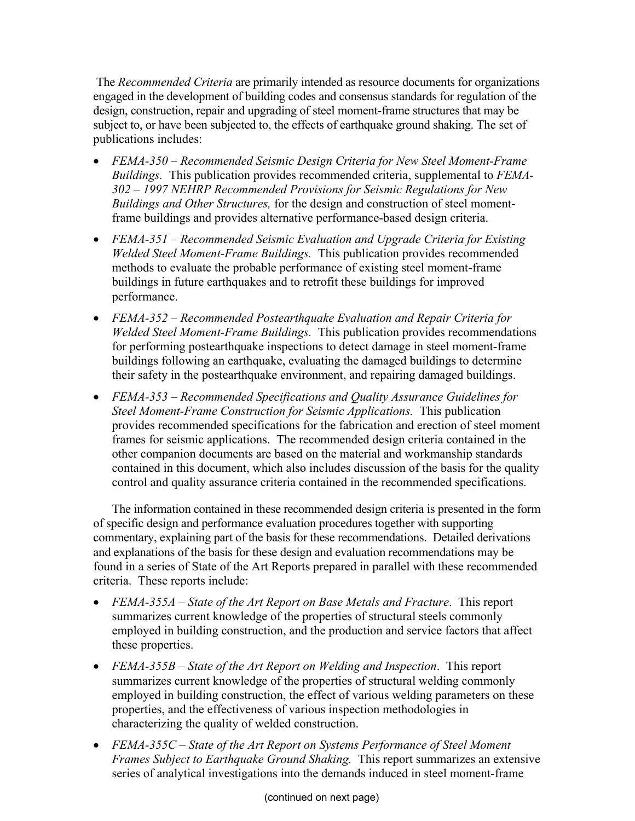<span id="page-1-0"></span> The *Recommended Criteria* are primarily intended as resource documents for organizations engaged in the development of building codes and consensus standards for regulation of the design, construction, repair and upgrading of steel moment-frame structures that may be subject to, or have been subjected to, the effects of earthquake ground shaking. The set of publications includes:

- *FEMA-350 Recommended Seismic Design Criteria for New Steel Moment-Frame Buildings.* This publication provides recommended criteria, supplemental to *FEMA-302 – 1997 NEHRP Recommended Provisions for Seismic Regulations for New Buildings and Other Structures,* for the design and construction of steel momentframe buildings and provides alternative performance-based design criteria.
- *FEMA-351 Recommended Seismic Evaluation and Upgrade Criteria for Existing Welded Steel Moment-Frame Buildings.* This publication provides recommended methods to evaluate the probable performance of existing steel moment-frame buildings in future earthquakes and to retrofit these buildings for improved performance.
- *FEMA-352 Recommended Postearthquake Evaluation and Repair Criteria for Welded Steel Moment-Frame Buildings.* This publication provides recommendations for performing postearthquake inspections to detect damage in steel moment-frame buildings following an earthquake, evaluating the damaged buildings to determine their safety in the postearthquake environment, and repairing damaged buildings.
- *FEMA-353 Recommended Specifications and Quality Assurance Guidelines for Steel Moment-Frame Construction for Seismic Applications.* This publication provides recommended specifications for the fabrication and erection of steel moment frames for seismic applications. The recommended design criteria contained in the other companion documents are based on the material and workmanship standards contained in this document, which also includes discussion of the basis for the quality control and quality assurance criteria contained in the recommended specifications.

The information contained in these recommended design criteria is presented in the form of specific design and performance evaluation procedures together with supporting commentary, explaining part of the basis for these recommendations. Detailed derivations and explanations of the basis for these design and evaluation recommendations may be found in a series of State of the Art Reports prepared in parallel with these recommended criteria. These reports include:

- *FEMA-355A State of the Art Report on Base Metals and Fracture*. This report summarizes current knowledge of the properties of structural steels commonly employed in building construction, and the production and service factors that affect these properties.
- *FEMA-355B State of the Art Report on Welding and Inspection*. This report summarizes current knowledge of the properties of structural welding commonly employed in building construction, the effect of various welding parameters on these properties, and the effectiveness of various inspection methodologies in characterizing the quality of welded construction.
- *FEMA-355C State of the Art Report on Systems Performance of Steel Moment Frames Subject to Earthquake Ground Shaking.* This report summarizes an extensive series of analytical investigations into the demands induced in steel moment-frame